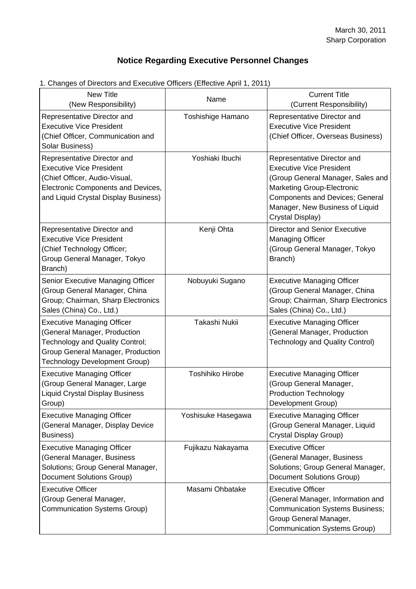## **Notice Regarding Executive Personnel Changes**

| r. Onanges or Directors and Executive Onicers (Enective April 1, 2011)<br><b>New Title</b>                                                                                    | Name                    | <b>Current Title</b>                                                                                                                                                                                                                      |
|-------------------------------------------------------------------------------------------------------------------------------------------------------------------------------|-------------------------|-------------------------------------------------------------------------------------------------------------------------------------------------------------------------------------------------------------------------------------------|
| (New Responsibility)<br>Representative Director and                                                                                                                           | Toshishige Hamano       | (Current Responsibility)<br>Representative Director and<br><b>Executive Vice President</b>                                                                                                                                                |
| <b>Executive Vice President</b><br>(Chief Officer, Communication and<br>Solar Business)                                                                                       |                         | (Chief Officer, Overseas Business)                                                                                                                                                                                                        |
| Representative Director and<br><b>Executive Vice President</b><br>(Chief Officer, Audio-Visual,<br>Electronic Components and Devices,<br>and Liquid Crystal Display Business) | Yoshiaki Ibuchi         | Representative Director and<br><b>Executive Vice President</b><br>(Group General Manager, Sales and<br><b>Marketing Group-Electronic</b><br><b>Components and Devices; General</b><br>Manager, New Business of Liquid<br>Crystal Display) |
| Representative Director and<br><b>Executive Vice President</b><br>(Chief Technology Officer;<br>Group General Manager, Tokyo<br>Branch)                                       | Kenji Ohta              | <b>Director and Senior Executive</b><br><b>Managing Officer</b><br>(Group General Manager, Tokyo<br>Branch)                                                                                                                               |
| Senior Executive Managing Officer<br>(Group General Manager, China<br>Group; Chairman, Sharp Electronics<br>Sales (China) Co., Ltd.)                                          | Nobuyuki Sugano         | <b>Executive Managing Officer</b><br>(Group General Manager, China<br>Group; Chairman, Sharp Electronics<br>Sales (China) Co., Ltd.)                                                                                                      |
| <b>Executive Managing Officer</b><br>(General Manager, Production<br>Technology and Quality Control;<br>Group General Manager, Production<br>Technology Development Group)    | Takashi Nukii           | <b>Executive Managing Officer</b><br>(General Manager, Production<br><b>Technology and Quality Control)</b>                                                                                                                               |
| <b>Executive Managing Officer</b><br>(Group General Manager, Large<br><b>Liquid Crystal Display Business</b><br>Group)                                                        | <b>Toshihiko Hirobe</b> | <b>Executive Managing Officer</b><br>(Group General Manager,<br><b>Production Technology</b><br>Development Group)                                                                                                                        |
| <b>Executive Managing Officer</b><br>(General Manager, Display Device<br>Business)                                                                                            | Yoshisuke Hasegawa      | <b>Executive Managing Officer</b><br>(Group General Manager, Liquid<br>Crystal Display Group)                                                                                                                                             |
| <b>Executive Managing Officer</b><br>(General Manager, Business<br>Solutions; Group General Manager,<br>Document Solutions Group)                                             | Fujikazu Nakayama       | <b>Executive Officer</b><br>(General Manager, Business<br>Solutions; Group General Manager,<br><b>Document Solutions Group)</b>                                                                                                           |
| <b>Executive Officer</b><br>(Group General Manager,<br>Communication Systems Group)                                                                                           | Masami Ohbatake         | <b>Executive Officer</b><br>(General Manager, Information and<br><b>Communication Systems Business;</b><br>Group General Manager,<br>Communication Systems Group)                                                                         |

1. Changes of Directors and Executive Officers (Effective April 1, 2011)